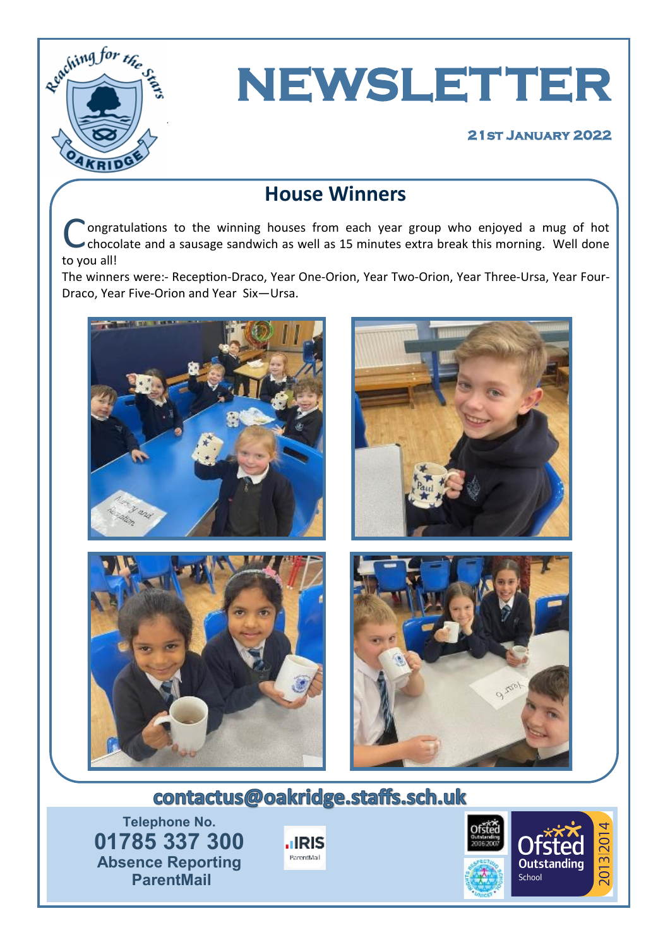

# **NEWSLETTER**

#### **21st January 2022**

# **House Winners**

C ongratulations to the winning houses from each year group who enjoyed a mug of hot chocolate and a sausage sandwich as well as 15 minutes extra break this morning. Well done to you all!

The winners were:- Reception-Draco, Year One-Orion, Year Two-Orion, Year Three-Ursa, Year Four-Draco, Year Five-Orion and Year Six—Ursa.



# contactus@oakridge.staffs.sch.uk

**Telephone No. 01785 337 300 Absence Reporting ParentMail**



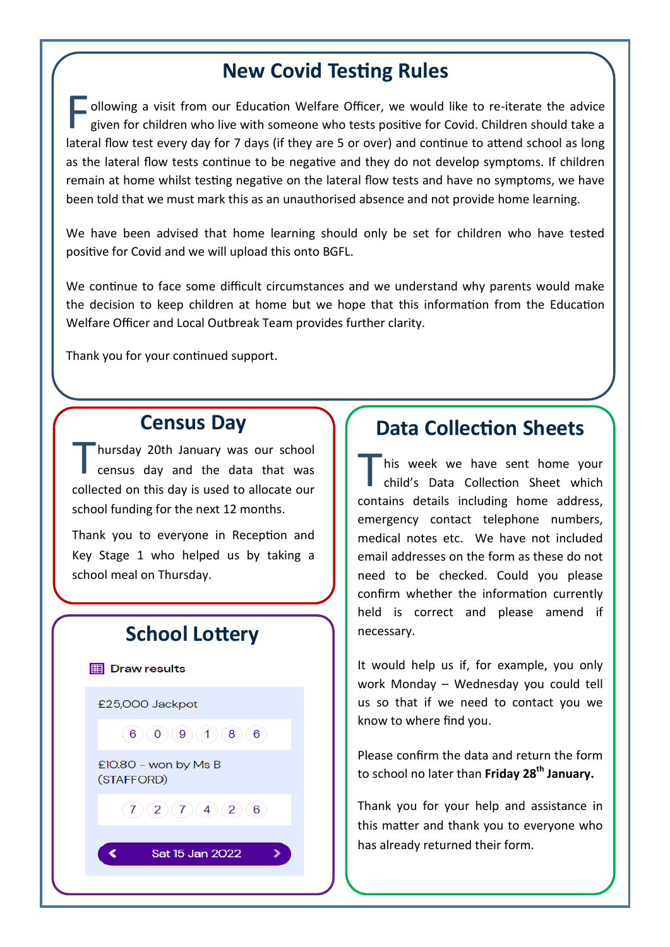### **New Covid Testing Rules**

F ollowing a visit from our Education Welfare Officer, we would like to re-iterate the advice given for children who live with someone who tests positive for Covid. Children should take a lateral flow test every day for 7 days (if they are 5 or over) and continue to attend school as long as the lateral flow tests continue to be negative and they do not develop symptoms. If children remain at home whilst testing negative on the lateral flow tests and have no symptoms, we have been told that we must mark this as an unauthorised absence and not provide home learning.

We have been advised that home learning should only be set for children who have tested positive for Covid and we will upload this onto BGFL.

We continue to face some difficult circumstances and we understand why parents would make the decision to keep children at home but we hope that this information from the Education Welfare Officer and Local Outbreak Team provides further clarity.

Thank you for your continued support.

#### **Census Day**

T hursday 20th January was our school census day and the data that was collected on this day is used to allocate our school funding for the next 12 months.

Thank you to everyone in Reception and Key Stage 1 who helped us by taking a school meal on Thursday.

#### **School Lottery**

**ED** Draw results

∢

£25,000 Jackpot  $6)$  (0) (9) (1) (8) (6) £10.80 - won by  $MsB$ (STAFFORD)  $(7)(2)(7)(4)(2)(6)$ 

Sat 15 Jan 2022

### **Data Collection Sheets**

T his week we have sent home your child's Data Collection Sheet which contains details including home address, emergency contact telephone numbers, medical notes etc. We have not included email addresses on the form as these do not need to be checked. Could you please confirm whether the information currently held is correct and please amend if necessary.

It would help us if, for example, you only work Monday – Wednesday you could tell us so that if we need to contact you we know to where find you.

Please confirm the data and return the form to school no later than **Friday 28th January.**

Thank you for your help and assistance in this matter and thank you to everyone who has already returned their form.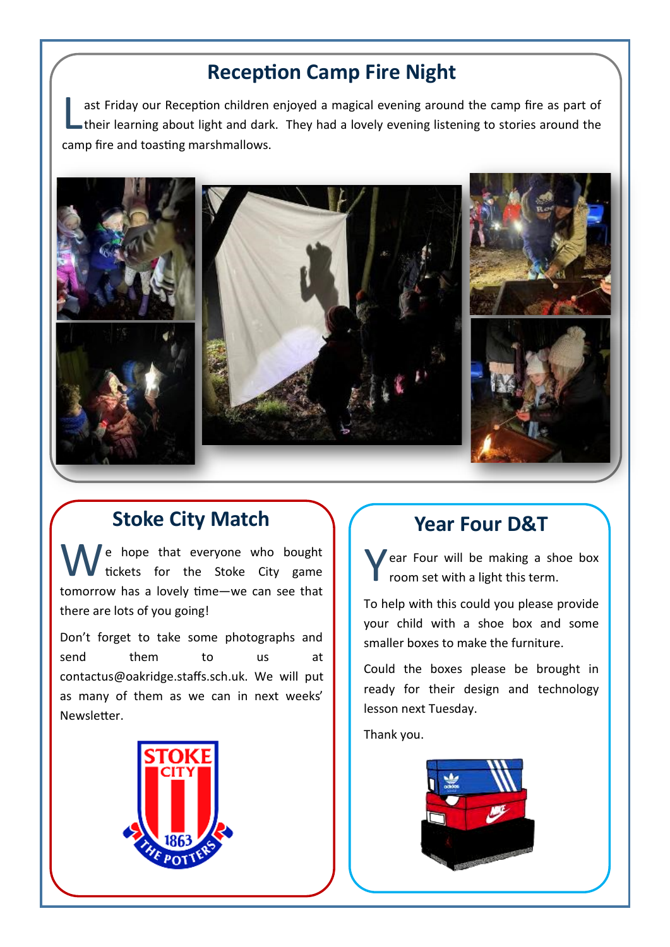# **Reception Camp Fire Night**

L ast Friday our Reception children enjoyed a magical evening around the camp fire as part of their learning about light and dark. They had a lovely evening listening to stories around the camp fire and toasting marshmallows.



#### **Stoke City Match**

We hope that everyone who bought<br>tickets for the Stoke City game tomorrow has a lovely time—we can see that there are lots of you going!

Don't forget to take some photographs and send them to us at contactus@oakridge.staffs.sch.uk. We will put as many of them as we can in next weeks' Newsletter.



## **Year Four D&T**

Y ear Four will be making a shoe box room set with a light this term.

To help with this could you please provide your child with a shoe box and some smaller boxes to make the furniture.

Could the boxes please be brought in ready for their design and technology lesson next Tuesday.

Thank you.

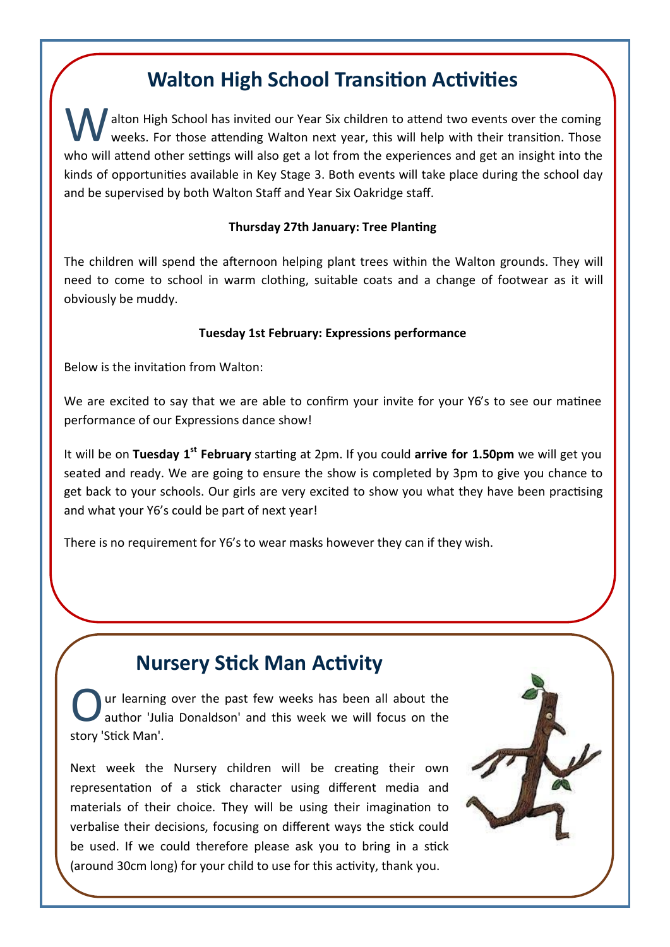## **Walton High School Transition Activities**

alton High School has invited our Year Six children to attend two events over the coming weeks. For those attending Walton next year, this will help with their transition. Those who will attend other settings will also get a lot from the experiences and get an insight into the kinds of opportunities available in Key Stage 3. Both events will take place during the school day and be supervised by both Walton Staff and Year Six Oakridge staff.

#### **Thursday 27th January: Tree Planting**

The children will spend the afternoon helping plant trees within the Walton grounds. They will need to come to school in warm clothing, suitable coats and a change of footwear as it will obviously be muddy.

#### **Tuesday 1st February: Expressions performance**

Below is the invitation from Walton:

We are excited to say that we are able to confirm your invite for your Y6's to see our matinee performance of our Expressions dance show!

It will be on **Tuesday 1st February** starting at 2pm. If you could **arrive for 1.50pm** we will get you seated and ready. We are going to ensure the show is completed by 3pm to give you chance to get back to your schools. Our girls are very excited to show you what they have been practising and what your Y6's could be part of next year!

There is no requirement for Y6's to wear masks however they can if they wish.

# **Nursery Stick Man Activity**

O ur learning over the past few weeks has been all about the author 'Julia Donaldson' and this week we will focus on the story 'Stick Man'.

Next week the Nursery children will be creating their own representation of a stick character using different media and materials of their choice. They will be using their imagination to verbalise their decisions, focusing on different ways the stick could be used. If we could therefore please ask you to bring in a stick (around 30cm long) for your child to use for this activity, thank you.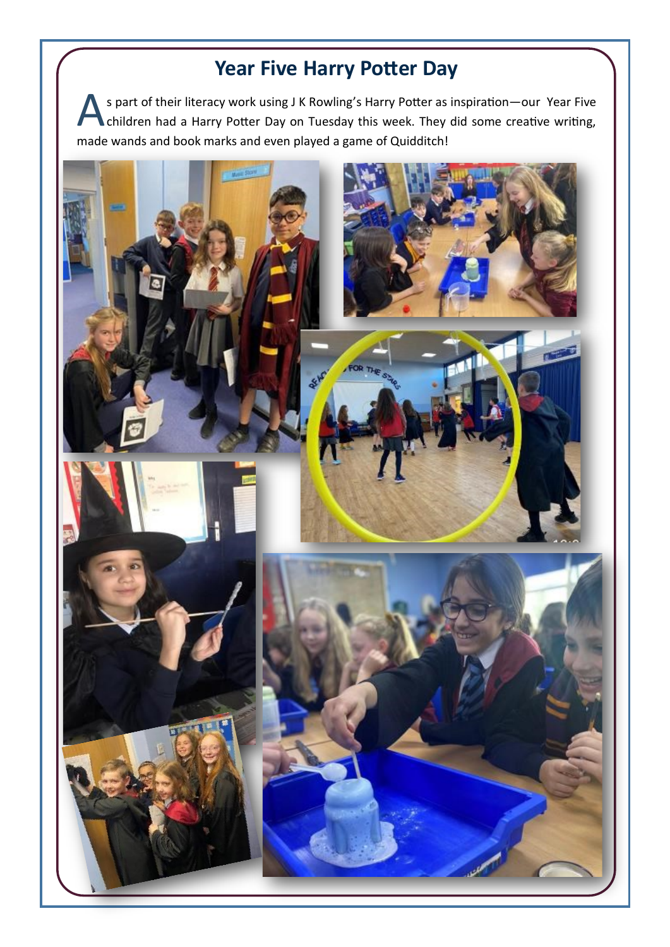# **Year Five Harry Potter Day**

S part of their literacy work using J K Rowling's Harry Potter as inspiration—our Year Five<br>
children had a Harry Potter Day on Tuesday this week. They did some creative writing, s part of their literacy work using J K Rowling's Harry Potter as inspiration—our Year Five made wands and book marks and even played a game of Quidditch!

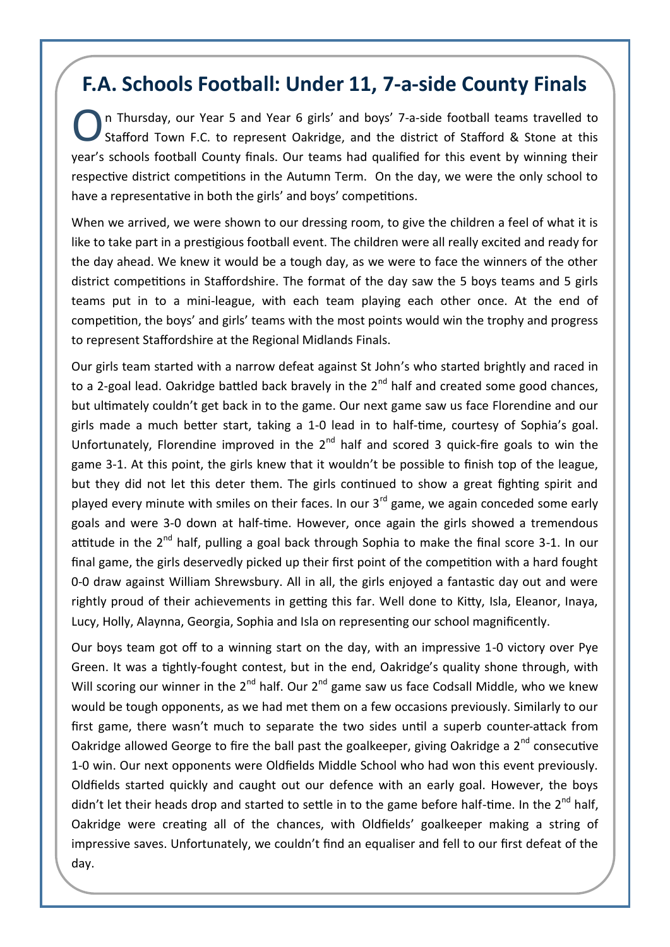### **F.A. Schools Football: Under 11, 7-a-side County Finals**

O n Thursday, our Year 5 and Year 6 girls' and boys' 7-a-side football teams travelled to Stafford Town F.C. to represent Oakridge, and the district of Stafford & Stone at this year's schools football County finals. Our teams had qualified for this event by winning their respective district competitions in the Autumn Term. On the day, we were the only school to have a representative in both the girls' and boys' competitions.

When we arrived, we were shown to our dressing room, to give the children a feel of what it is like to take part in a prestigious football event. The children were all really excited and ready for the day ahead. We knew it would be a tough day, as we were to face the winners of the other district competitions in Staffordshire. The format of the day saw the 5 boys teams and 5 girls teams put in to a mini-league, with each team playing each other once. At the end of competition, the boys' and girls' teams with the most points would win the trophy and progress to represent Staffordshire at the Regional Midlands Finals.

Our girls team started with a narrow defeat against St John's who started brightly and raced in to a 2-goal lead. Oakridge battled back bravely in the  $2<sup>nd</sup>$  half and created some good chances, but ultimately couldn't get back in to the game. Our next game saw us face Florendine and our girls made a much better start, taking a 1-0 lead in to half-time, courtesy of Sophia's goal. Unfortunately, Florendine improved in the  $2^{nd}$  half and scored 3 quick-fire goals to win the game 3-1. At this point, the girls knew that it wouldn't be possible to finish top of the league, but they did not let this deter them. The girls continued to show a great fighting spirit and played every minute with smiles on their faces. In our  $3<sup>rd</sup>$  game, we again conceded some early goals and were 3-0 down at half-time. However, once again the girls showed a tremendous attitude in the 2<sup>nd</sup> half, pulling a goal back through Sophia to make the final score 3-1. In our final game, the girls deservedly picked up their first point of the competition with a hard fought 0-0 draw against William Shrewsbury. All in all, the girls enjoyed a fantastic day out and were rightly proud of their achievements in getting this far. Well done to Kitty, Isla, Eleanor, Inaya, Lucy, Holly, Alaynna, Georgia, Sophia and Isla on representing our school magnificently.

Our boys team got off to a winning start on the day, with an impressive 1-0 victory over Pye Green. It was a tightly-fought contest, but in the end, Oakridge's quality shone through, with Will scoring our winner in the  $2^{nd}$  half. Our  $2^{nd}$  game saw us face Codsall Middle, who we knew would be tough opponents, as we had met them on a few occasions previously. Similarly to our first game, there wasn't much to separate the two sides until a superb counter-attack from Oakridge allowed George to fire the ball past the goalkeeper, giving Oakridge a  $2^{nd}$  consecutive 1-0 win. Our next opponents were Oldfields Middle School who had won this event previously. Oldfields started quickly and caught out our defence with an early goal. However, the boys didn't let their heads drop and started to settle in to the game before half-time. In the  $2^{nd}$  half, Oakridge were creating all of the chances, with Oldfields' goalkeeper making a string of impressive saves. Unfortunately, we couldn't find an equaliser and fell to our first defeat of the day.